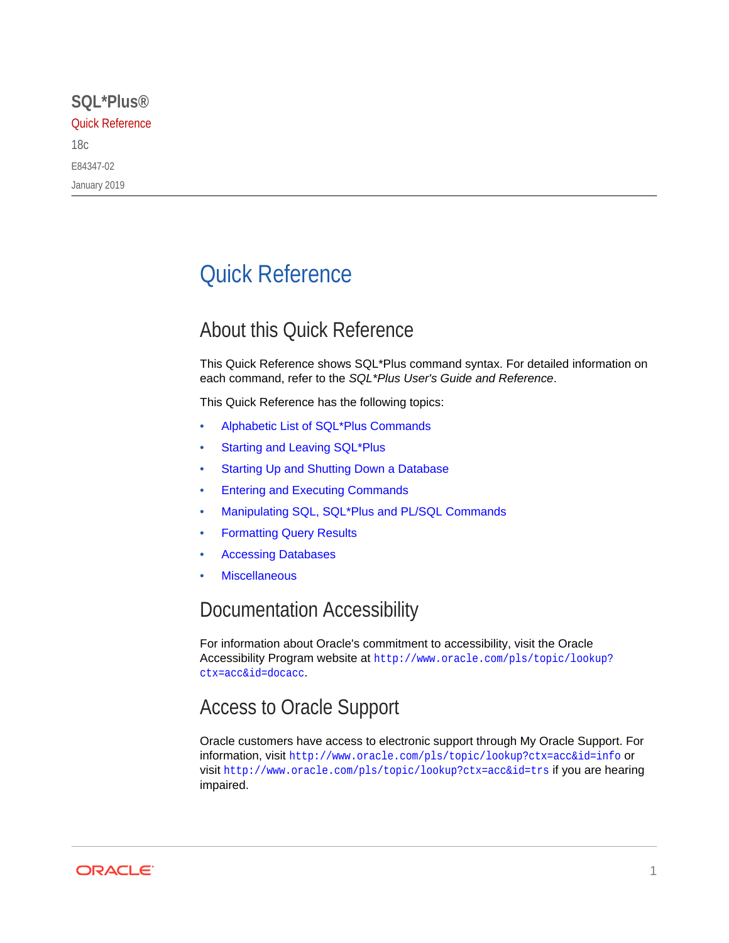### **SQL\*Plus®**

#### Quick Reference

18c E84347-02 January 2019

# Quick Reference

## About this Quick Reference

This Quick Reference shows SQL\*Plus command syntax. For detailed information on each command, refer to the *SQL\*Plus User's Guide and Reference*.

This Quick Reference has the following topics:

- [Alphabetic List of SQL\\*Plus Commands](#page-1-0)
- [Starting and Leaving SQL\\*Plus](#page-3-0)
- [Starting Up and Shutting Down a Database](#page-3-0)
- **[Entering and Executing Commands](#page-4-0)**
- [Manipulating SQL, SQL\\*Plus and PL/SQL Commands](#page-5-0)
- [Formatting Query Results](#page-8-0)
- [Accessing Databases](#page-13-0)
- **[Miscellaneous](#page-14-0)**

### Documentation Accessibility

For information about Oracle's commitment to accessibility, visit the Oracle Accessibility Program website at [http://www.oracle.com/pls/topic/lookup?](http://www.oracle.com/pls/topic/lookup?ctx=acc&id=docacc) [ctx=acc&id=docacc](http://www.oracle.com/pls/topic/lookup?ctx=acc&id=docacc).

### Access to Oracle Support

Oracle customers have access to electronic support through My Oracle Support. For information, visit <http://www.oracle.com/pls/topic/lookup?ctx=acc&id=info> or visit <http://www.oracle.com/pls/topic/lookup?ctx=acc&id=trs> if you are hearing impaired.

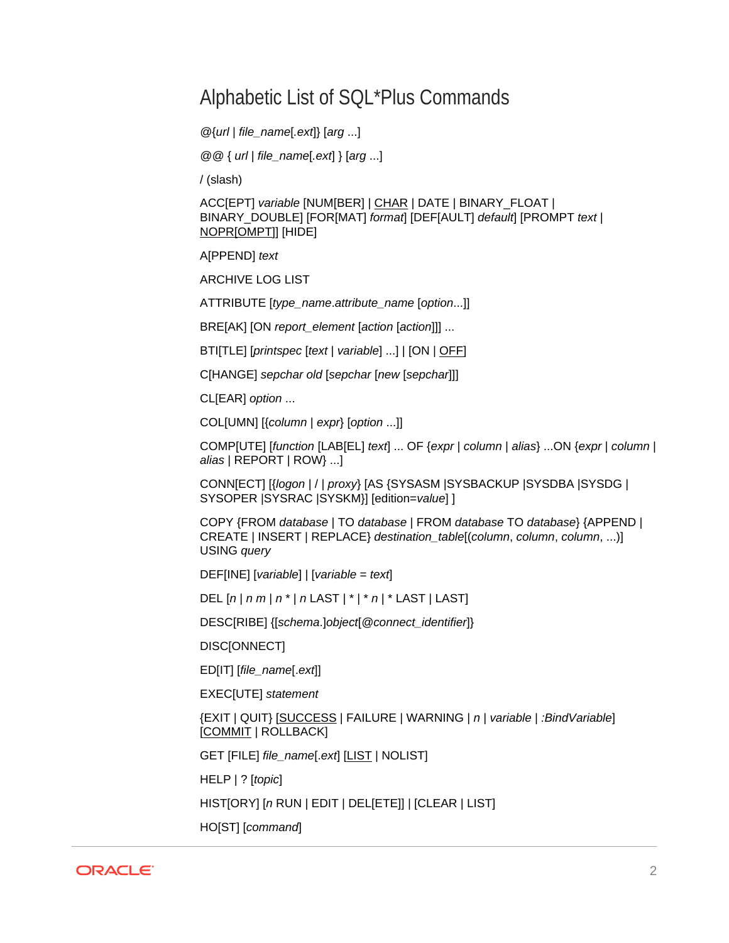## <span id="page-1-0"></span>Alphabetic List of SQL\*Plus Commands

*@*{*url* | *file\_name*[*.ext*]} [*arg* ...]

*@@* { *url* | *file\_name*[*.ext*] } [*arg* ...]

/ (slash)

ACC[EPT] *variable* [NUM[BER] | CHAR | DATE | BINARY\_FLOAT | BINARY\_DOUBLE] [FOR[MAT] *format*] [DEF[AULT] *default*] [PROMPT *text* | NOPR[OMPT]] [HIDE]

A[PPEND] *text*

ARCHIVE LOG LIST

ATTRIBUTE [*type\_name*.*attribute\_name* [*option*...]]

BRE[AK] [ON *report\_element* [*action* [*action*]]] ...

BTI[TLE] [*printspec* [*text* | *variable*] ...] | [ON | OFF]

C[HANGE] *sepchar old* [*sepchar* [*new* [*sepchar*]]]

CL[EAR] *option* ...

COL[UMN] [{*column* | *expr*} [*option* ...]]

COMP[UTE] [*function* [LAB[EL] *text*] ... OF {*expr* | *column* | *alias*} ...ON {*expr* | *column* | *alias* | REPORT | ROW} ...]

CONN[ECT] [{*logon* | / | *proxy*} [AS {SYSASM |SYSBACKUP |SYSDBA |SYSDG | SYSOPER |SYSRAC |SYSKM}] [edition=*value*] ]

COPY {FROM *database* | TO *database* | FROM *database* TO *database*} {APPEND | CREATE | INSERT | REPLACE} *destination\_table*[(*column*, *column*, *column*, ...)] USING *query*

DEF[INE] [*variable*] | [*variable* = *text*]

DEL [*n* | *n m* | *n* \* | *n* LAST | \* | \* *n* | \* LAST | LAST]

DESC[RIBE] {[*schema*.]*object*[*@connect\_identifier*]}

DISC[ONNECT]

ED[IT] [*file\_name*[.*ext*]]

EXEC[UTE] *statement*

{EXIT | QUIT} [SUCCESS | FAILURE | WARNING | *n* | *variable* | *:BindVariable*] [COMMIT | ROLLBACK]

GET [FILE] *file\_name*[.*ext*] [LIST | NOLIST]

HELP | ? [*topic*]

HIST[ORY] [*n* RUN | EDIT | DEL[ETE]] | [CLEAR | LIST]

HO[ST] [*command*]

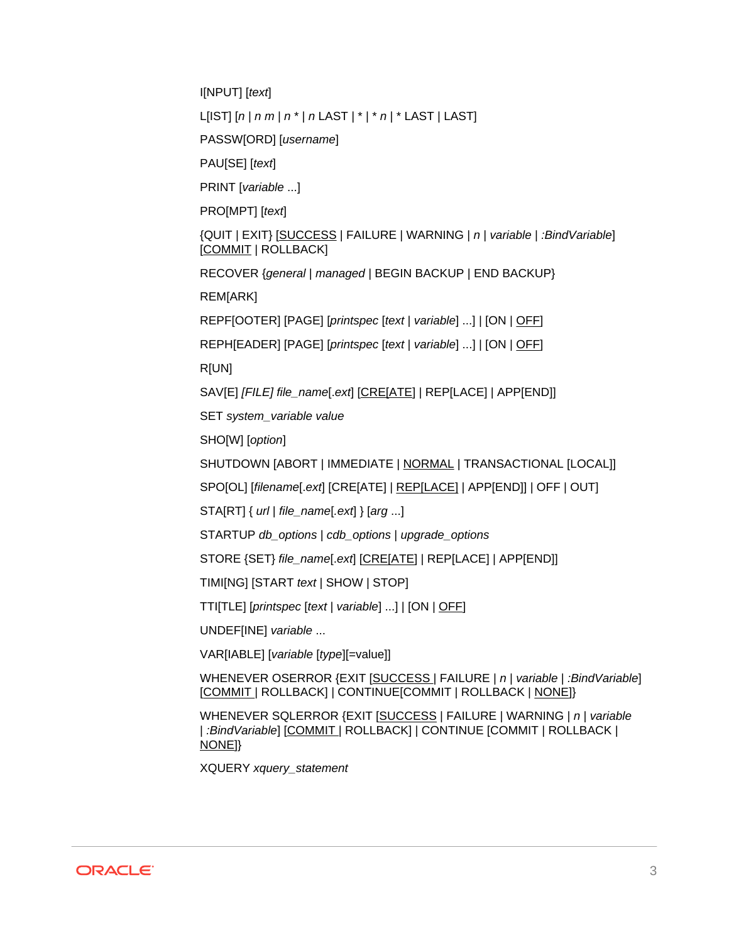I[NPUT] [*text*]

L[IST] [*n* | *n m* | *n* \* | *n* LAST | \* | \* *n* | \* LAST | LAST]

PASSW[ORD] [*username*]

PAU[SE] [*text*]

PRINT [*variable* ...]

PRO[MPT] [*text*]

{QUIT | EXIT} [SUCCESS | FAILURE | WARNING | *n* | *variable* | *:BindVariable*] [COMMIT | ROLLBACK]

RECOVER {*general* | *managed* | BEGIN BACKUP | END BACKUP}

REM[ARK]

REPF[OOTER] [PAGE] [*printspec* [*text* | *variable*] ...] | [ON | OFF]

REPH[EADER] [PAGE] [*printspec* [*text* | *variable*] ...] | [ON | OFF]

R[UN]

SAV[E] *[FILE] file\_name*[.*ext*] [CRE[ATE] | REP[LACE] | APP[END]]

SET *system\_variable value*

SHO[W] [*option*]

SHUTDOWN [ABORT | IMMEDIATE | NORMAL | TRANSACTIONAL [LOCAL]]

SPO[OL] [*filename*[.*ext*] [CRE[ATE] | REP[LACE] | APP[END]] | OFF | OUT]

STA[RT] { *url* | *file\_name*[*.ext*] } [*arg* ...]

STARTUP *db\_options* | *cdb\_options* | *upgrade\_options*

STORE {SET} *file\_name*[.*ext*] [CRE[ATE] | REP[LACE] | APP[END]]

TIMI[NG] [START *text* | SHOW | STOP]

TTI[TLE] [*printspec* [*text* | *variable*] ...] | [ON | OFF]

UNDEF[INE] *variable* ...

VAR[IABLE] [*variable* [*type*][=value]]

WHENEVER OSERROR {EXIT [SUCCESS | FAILURE | *n* | *variable* | *:BindVariable*] [COMMIT | ROLLBACK] | CONTINUE[COMMIT | ROLLBACK | NONE]}

WHENEVER SQLERROR {EXIT [SUCCESS | FAILURE | WARNING | *n* | *variable* | *:BindVariable*] [COMMIT | ROLLBACK] | CONTINUE [COMMIT | ROLLBACK | NONE]}

XQUERY *xquery\_statement*

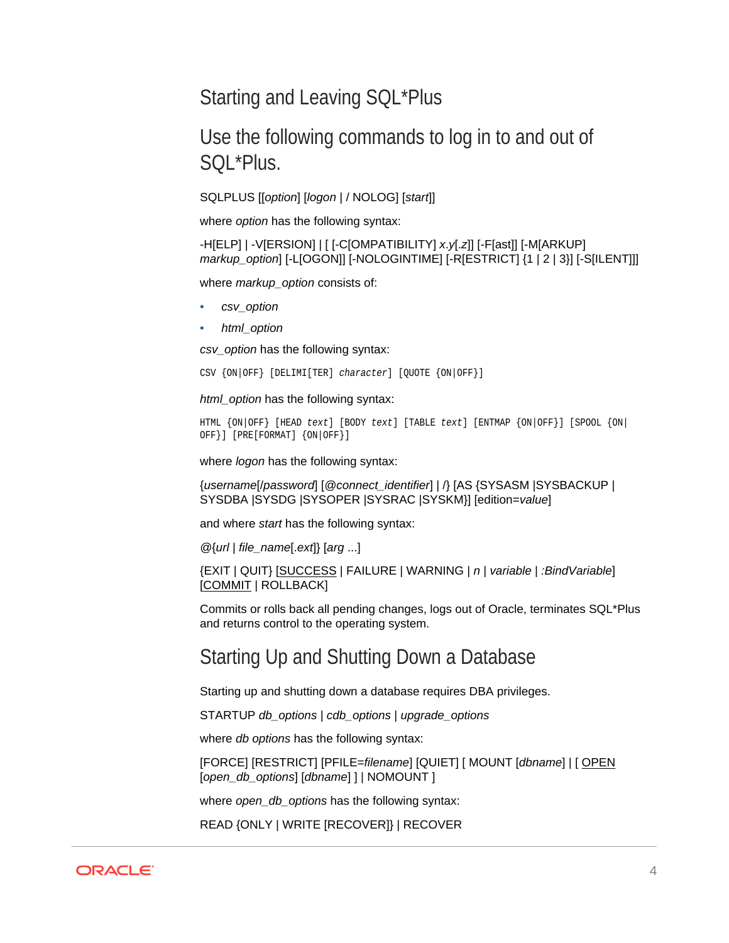### <span id="page-3-0"></span>Starting and Leaving SQL\*Plus

## Use the following commands to log in to and out of SQL\*Plus.

SQLPLUS [[*option*] [*logon* | / NOLOG] [*start*]]

where *option* has the following syntax:

-H[ELP] | -V[ERSION] | [ [-C[OMPATIBILITY] *x*.*y*[.*z*]] [-F[ast]] [-M[ARKUP] *markup\_option*] [-L[OGON]] [-NOLOGINTIME] [-R[ESTRICT] {1 | 2 | 3}] [-S[ILENT]]]

where *markup\_option* consists of:

- *csv\_option*
- *html\_option*

*csv\_option* has the following syntax:

CSV {ON|OFF} [DELIMI[TER] character] [QUOTE {ON|OFF}]

*html\_option* has the following syntax:

```
HTML {ON|OFF} [HEAD text] [BODY text] [TABLE text] [ENTMAP {ON|OFF}] [SPOOL {ON|
OFF}] [PRE[FORMAT] {ON|OFF}]
```
where *logon* has the following syntax:

{*username*[/*password*] [*@connect\_identifier*] | /} [AS {SYSASM |SYSBACKUP | SYSDBA |SYSDG |SYSOPER |SYSRAC |SYSKM}] [edition=*value*]

and where *start* has the following syntax:

*@*{*url* | *file\_name*[.*ext*]} [*arg* ...]

{EXIT | QUIT} [SUCCESS | FAILURE | WARNING | *n* | *variable* | *:BindVariable*] [COMMIT | ROLLBACK]

Commits or rolls back all pending changes, logs out of Oracle, terminates SQL\*Plus and returns control to the operating system.

### Starting Up and Shutting Down a Database

Starting up and shutting down a database requires DBA privileges.

STARTUP *db\_options* | *cdb\_options* | *upgrade\_options*

where *db options* has the following syntax:

[FORCE] [RESTRICT] [PFILE=*filename*] [QUIET] [ MOUNT [*dbname*] | [ OPEN [*open\_db\_options*] [*dbname*] ] | NOMOUNT ]

where *open* db options has the following syntax:

READ {ONLY | WRITE [RECOVER]} | RECOVER

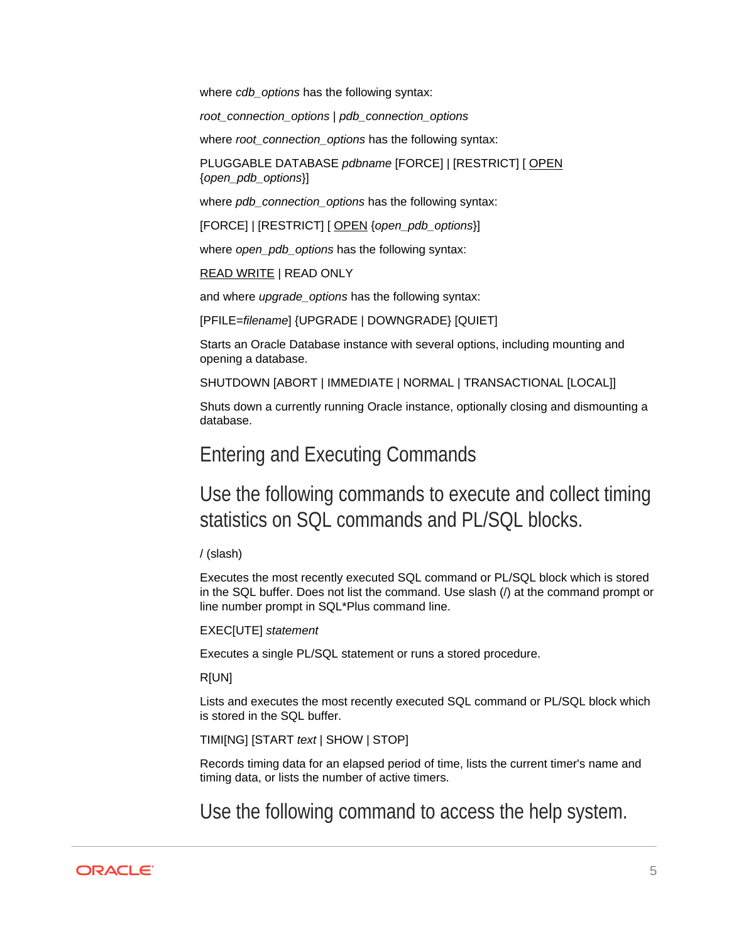<span id="page-4-0"></span>where *cdb\_options* has the following syntax:

*root\_connection\_options* | *pdb\_connection\_options*

where *root* connection options has the following syntax:

PLUGGABLE DATABASE *pdbname* [FORCE] | [RESTRICT] [ OPEN {*open\_pdb\_options*}]

where *pdb\_connection\_options* has the following syntax:

[FORCE] | [RESTRICT] [ OPEN {*open\_pdb\_options*}]

where *open\_pdb\_options* has the following syntax:

READ WRITE | READ ONLY

and where *upgrade\_options* has the following syntax:

[PFILE=*filename*] {UPGRADE | DOWNGRADE} [QUIET]

Starts an Oracle Database instance with several options, including mounting and opening a database.

SHUTDOWN [ABORT | IMMEDIATE | NORMAL | TRANSACTIONAL [LOCAL]]

Shuts down a currently running Oracle instance, optionally closing and dismounting a database.

### Entering and Executing Commands

Use the following commands to execute and collect timing statistics on SQL commands and PL/SQL blocks.

/ (slash)

Executes the most recently executed SQL command or PL/SQL block which is stored in the SQL buffer. Does not list the command. Use slash (/) at the command prompt or line number prompt in SQL\*Plus command line.

EXEC[UTE] *statement*

Executes a single PL/SQL statement or runs a stored procedure.

R[UN]

Lists and executes the most recently executed SQL command or PL/SQL block which is stored in the SQL buffer.

TIMI[NG] [START *text* | SHOW | STOP]

Records timing data for an elapsed period of time, lists the current timer's name and timing data, or lists the number of active timers.

Use the following command to access the help system.

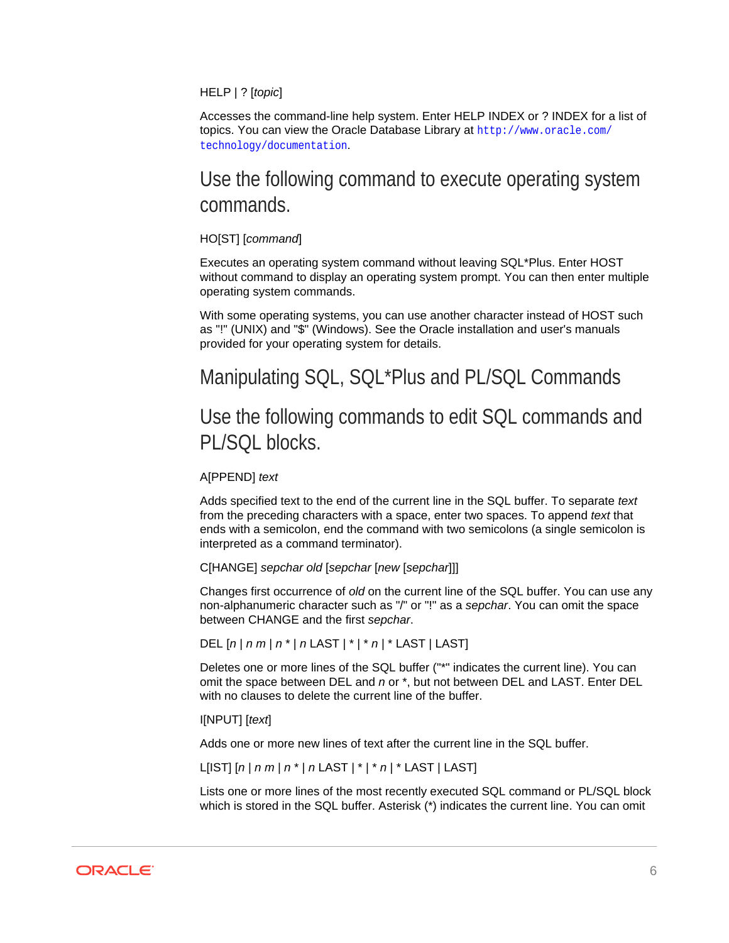<span id="page-5-0"></span>HELP | ? [*topic*]

Accesses the command-line help system. Enter HELP INDEX or ? INDEX for a list of topics. You can view the Oracle Database Library at [http://www.oracle.com/](http://www.oracle.com/technology/documentation) [technology/documentation](http://www.oracle.com/technology/documentation).

### Use the following command to execute operating system commands.

#### HO[ST] [*command*]

Executes an operating system command without leaving SQL\*Plus. Enter HOST without command to display an operating system prompt. You can then enter multiple operating system commands.

With some operating systems, you can use another character instead of HOST such as "!" (UNIX) and "\$" (Windows). See the Oracle installation and user's manuals provided for your operating system for details.

## Manipulating SQL, SQL\*Plus and PL/SQL Commands

## Use the following commands to edit SQL commands and PL/SQL blocks.

#### A[PPEND] *text*

Adds specified text to the end of the current line in the SQL buffer. To separate *text* from the preceding characters with a space, enter two spaces. To append *text* that ends with a semicolon, end the command with two semicolons (a single semicolon is interpreted as a command terminator).

#### C[HANGE] *sepchar old* [*sepchar* [*new* [*sepchar*]]]

Changes first occurrence of *old* on the current line of the SQL buffer. You can use any non-alphanumeric character such as "/" or "!" as a *sepchar*. You can omit the space between CHANGE and the first *sepchar*.

#### DEL [*n* | *n m* | *n* \* | *n* LAST | \* | \* *n* | \* LAST | LAST]

Deletes one or more lines of the SQL buffer ("\*" indicates the current line). You can omit the space between DEL and *n* or \*, but not between DEL and LAST. Enter DEL with no clauses to delete the current line of the buffer.

#### I[NPUT] [*text*]

Adds one or more new lines of text after the current line in the SQL buffer.

L[IST] [*n* | *n m* | *n* \* | *n* LAST | \* | \* *n* | \* LAST | LAST]

Lists one or more lines of the most recently executed SQL command or PL/SQL block which is stored in the SQL buffer. Asterisk (\*) indicates the current line. You can omit

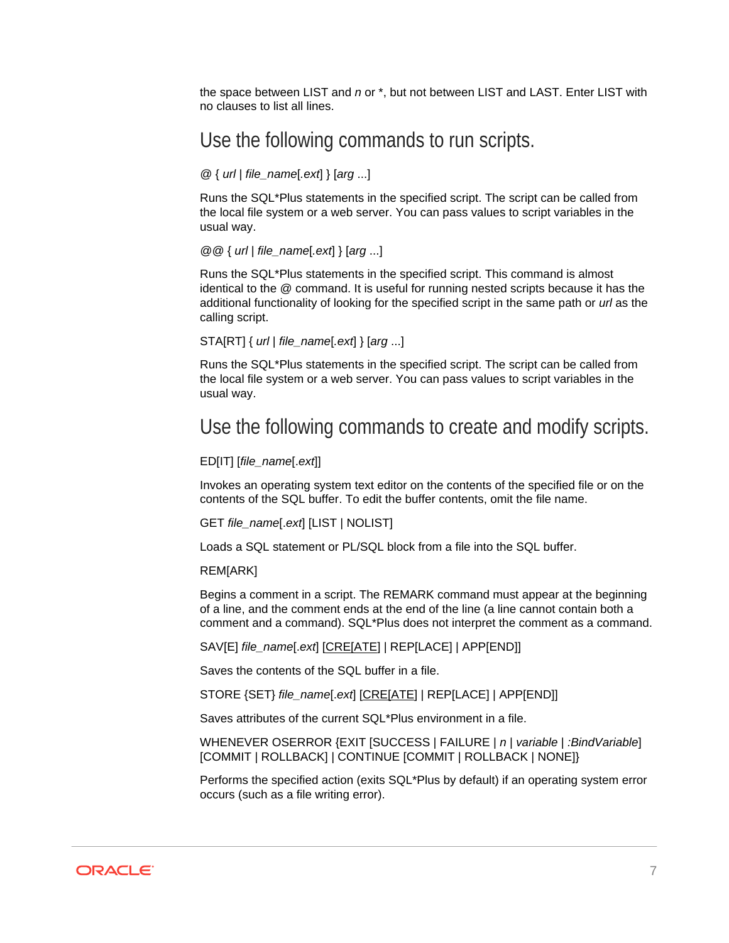the space between LIST and *n* or \*, but not between LIST and LAST. Enter LIST with no clauses to list all lines.

### Use the following commands to run scripts.

*@* { *url* | *file\_name*[*.ext*] } [*arg* ...]

Runs the SQL\*Plus statements in the specified script. The script can be called from the local file system or a web server. You can pass values to script variables in the usual way.

*@@* { *url* | *file\_name*[*.ext*] } [*arg* ...]

Runs the SQL\*Plus statements in the specified script. This command is almost identical to the @ command. It is useful for running nested scripts because it has the additional functionality of looking for the specified script in the same path or *url* as the calling script.

STA[RT] { *url* | *file\_name*[*.ext*] } [*arg* ...]

Runs the SQL\*Plus statements in the specified script. The script can be called from the local file system or a web server. You can pass values to script variables in the usual way.

### Use the following commands to create and modify scripts.

#### ED[IT] [*file\_name*[.*ext*]]

Invokes an operating system text editor on the contents of the specified file or on the contents of the SQL buffer. To edit the buffer contents, omit the file name.

GET *file\_name*[.*ext*] [LIST | NOLIST]

Loads a SQL statement or PL/SQL block from a file into the SQL buffer.

#### REM[ARK]

Begins a comment in a script. The REMARK command must appear at the beginning of a line, and the comment ends at the end of the line (a line cannot contain both a comment and a command). SQL\*Plus does not interpret the comment as a command.

SAV[E] *file\_name*[.*ext*] [CRE[ATE] | REP[LACE] | APP[END]]

Saves the contents of the SQL buffer in a file.

STORE {SET} *file\_name*[.*ext*] [CRE[ATE] | REP[LACE] | APP[END]]

Saves attributes of the current SQL\*Plus environment in a file.

WHENEVER OSERROR {EXIT [SUCCESS | FAILURE | *n* | *variable* | *:BindVariable*] [COMMIT | ROLLBACK] | CONTINUE [COMMIT | ROLLBACK | NONE]}

Performs the specified action (exits SQL\*Plus by default) if an operating system error occurs (such as a file writing error).

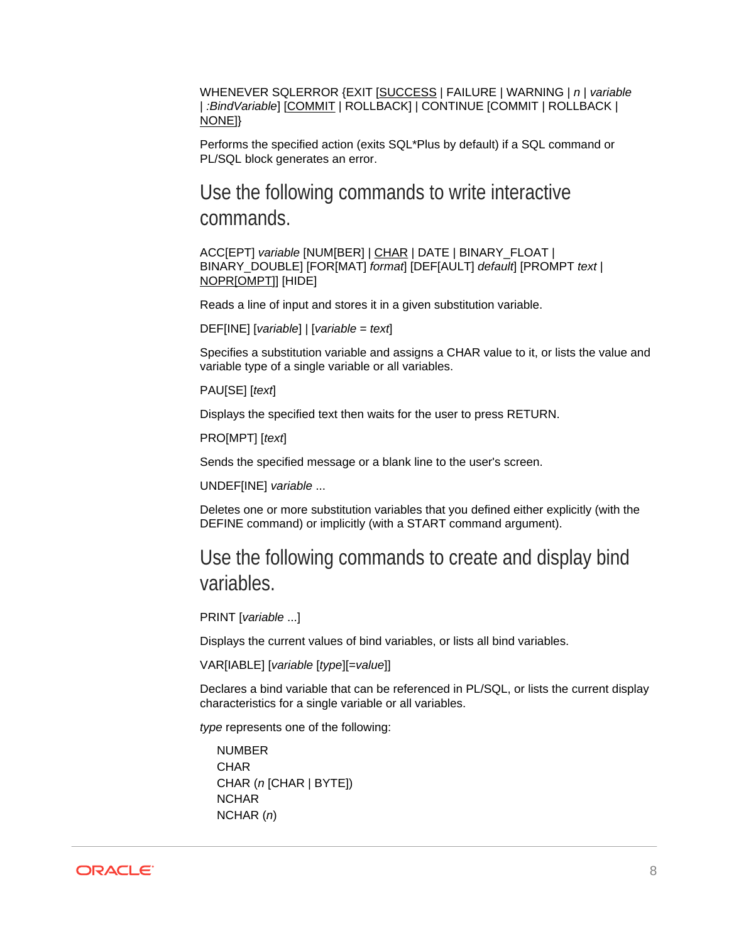WHENEVER SQLERROR {EXIT [SUCCESS | FAILURE | WARNING | *n* | *variable* | *:BindVariable*] [COMMIT | ROLLBACK] | CONTINUE [COMMIT | ROLLBACK | NONE]}

Performs the specified action (exits SQL\*Plus by default) if a SQL command or PL/SQL block generates an error.

## Use the following commands to write interactive commands.

ACC[EPT] *variable* [NUM[BER] | CHAR | DATE | BINARY\_FLOAT | BINARY\_DOUBLE] [FOR[MAT] *format*] [DEF[AULT] *default*] [PROMPT *text* | NOPR[OMPT]] [HIDE]

Reads a line of input and stores it in a given substitution variable.

DEF[INE] [*variable*] | [*variable* = *text*]

Specifies a substitution variable and assigns a CHAR value to it, or lists the value and variable type of a single variable or all variables.

PAU[SE] [*text*]

Displays the specified text then waits for the user to press RETURN.

PRO[MPT] [*text*]

Sends the specified message or a blank line to the user's screen.

UNDEF[INE] *variable* ...

Deletes one or more substitution variables that you defined either explicitly (with the DEFINE command) or implicitly (with a START command argument).

### Use the following commands to create and display bind variables.

PRINT [*variable* ...]

Displays the current values of bind variables, or lists all bind variables.

VAR[IABLE] [*variable* [*type*][=*value*]]

Declares a bind variable that can be referenced in PL/SQL, or lists the current display characteristics for a single variable or all variables.

*type* represents one of the following:

NUMBER **CHAR** CHAR (*n* [CHAR | BYTE]) **NCHAR** NCHAR (*n*)

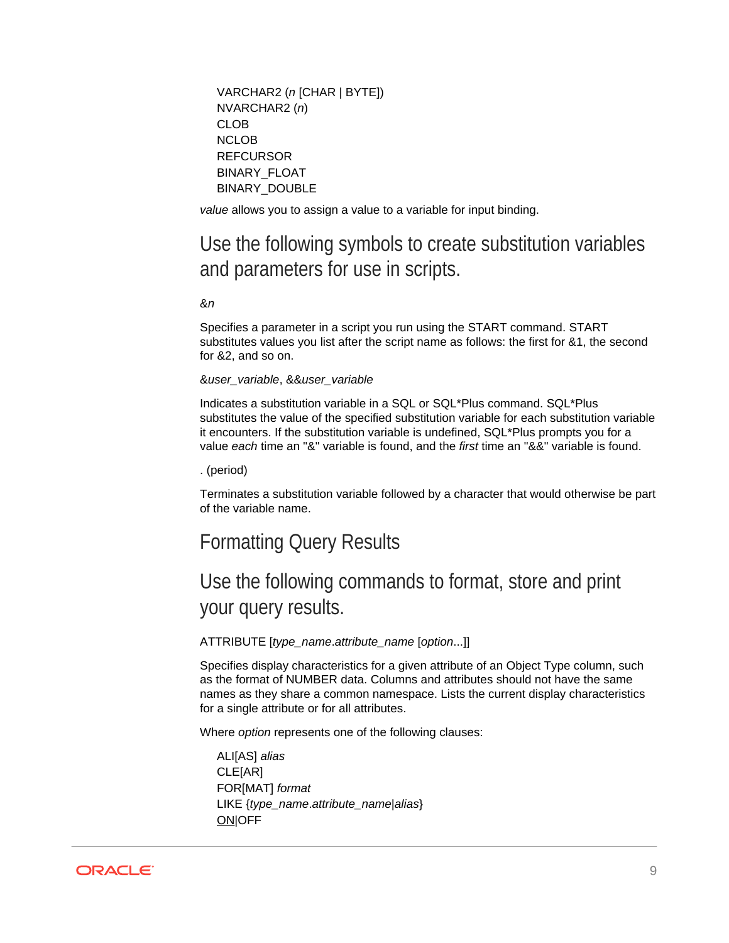<span id="page-8-0"></span>VARCHAR2 (*n* [CHAR | BYTE]) NVARCHAR2 (*n*) CLOB **NCLOB** REFCURSOR BINARY\_FLOAT BINARY\_DOUBLE

*value* allows you to assign a value to a variable for input binding.

## Use the following symbols to create substitution variables and parameters for use in scripts.

&*n*

Specifies a parameter in a script you run using the START command. START substitutes values you list after the script name as follows: the first for &1, the second for &2, and so on.

#### &*user\_variable*, &&*user\_variable*

Indicates a substitution variable in a SQL or SQL\*Plus command. SQL\*Plus substitutes the value of the specified substitution variable for each substitution variable it encounters. If the substitution variable is undefined, SQL\*Plus prompts you for a value *each* time an "&" variable is found, and the *first* time an "&&" variable is found.

. (period)

Terminates a substitution variable followed by a character that would otherwise be part of the variable name.

## Formatting Query Results

## Use the following commands to format, store and print your query results.

#### ATTRIBUTE [*type\_name*.*attribute\_name* [*option*...]]

Specifies display characteristics for a given attribute of an Object Type column, such as the format of NUMBER data. Columns and attributes should not have the same names as they share a common namespace. Lists the current display characteristics for a single attribute or for all attributes.

Where *option* represents one of the following clauses:

ALI[AS] *alias* CLE[AR] FOR[MAT] *format* LIKE {*type\_name*.*attribute\_name*|*alias*} ON|OFF

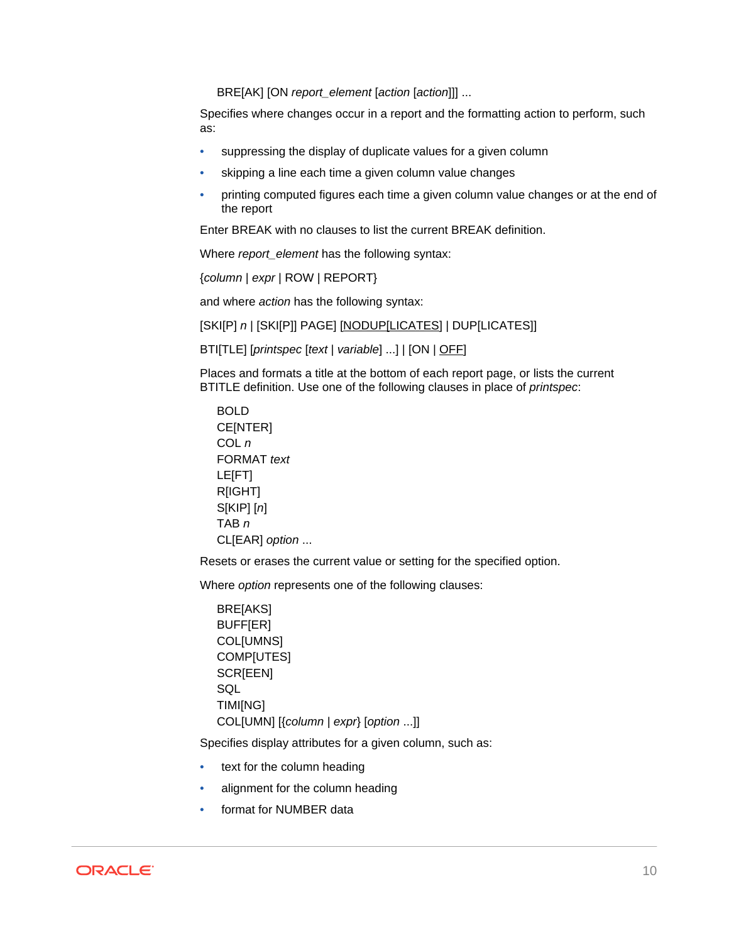BRE[AK] [ON *report\_element* [*action* [*action*]]] ...

Specifies where changes occur in a report and the formatting action to perform, such as:

- suppressing the display of duplicate values for a given column
- skipping a line each time a given column value changes
- printing computed figures each time a given column value changes or at the end of the report

Enter BREAK with no clauses to list the current BREAK definition.

Where *report\_element* has the following syntax:

{*column* | *expr* | ROW | REPORT}

and where *action* has the following syntax:

[SKI[P] *n* | [SKI[P]] PAGE] [NODUP[LICATES] | DUP[LICATES]]

BTI[TLE] [*printspec* [*text* | *variable*] ...] | [ON | OFF]

Places and formats a title at the bottom of each report page, or lists the current BTITLE definition. Use one of the following clauses in place of *printspec*:

BOLD CE[NTER] COL *n* FORMAT *text* LE[FT] R[IGHT] S[KIP] [*n*] TAB *n* CL[EAR] *option* ...

Resets or erases the current value or setting for the specified option.

Where *option* represents one of the following clauses:

BRE[AKS] BUFF[ER] COL[UMNS] COMP[UTES] SCR[EEN] **SQL** TIMI[NG] COL[UMN] [{*column* | *expr*} [*option* ...]]

Specifies display attributes for a given column, such as:

- text for the column heading
- alignment for the column heading
- format for NUMBER data

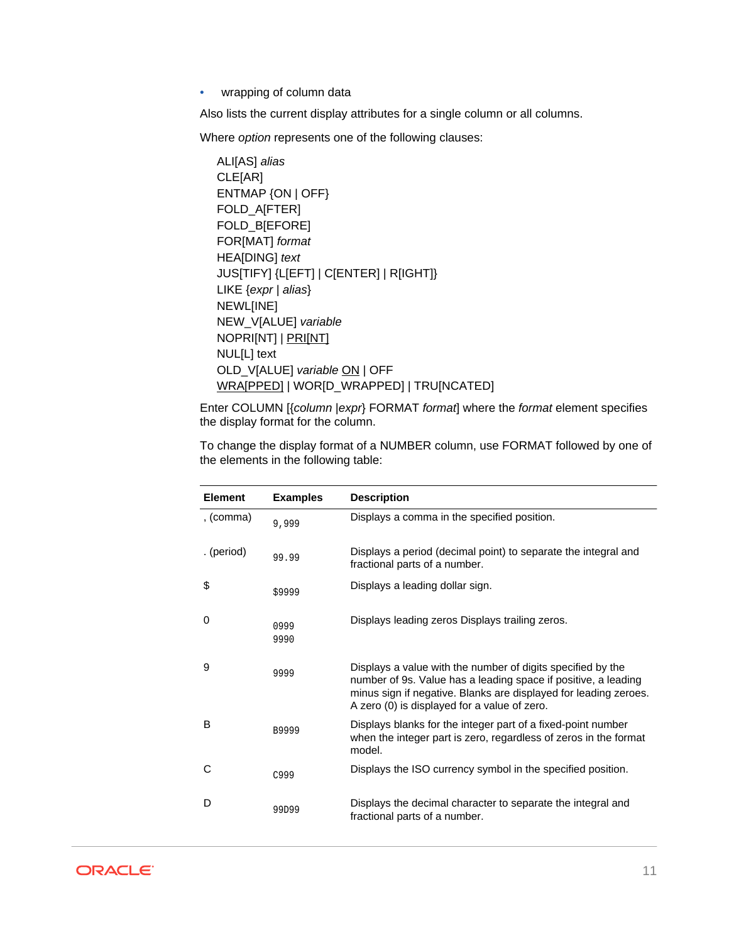• wrapping of column data

Also lists the current display attributes for a single column or all columns.

Where *option* represents one of the following clauses:

ALI[AS] *alias* CLE[AR] ENTMAP {ON | OFF} FOLD\_A[FTER] FOLD\_B[EFORE] FOR[MAT] *format* HEA[DING] *text* JUS[TIFY] {L[EFT] | C[ENTER] | R[IGHT]} LIKE {*expr* | *alias*} NEWL[INE] NEW\_V[ALUE] *variable* NOPRI[NT] | PRI[NT] NUL[L] text OLD\_V[ALUE] *variable* ON | OFF WRA[PPED] | WOR[D\_WRAPPED] | TRU[NCATED]

Enter COLUMN [{*column* |*expr*} FORMAT *format*] where the *format* element specifies the display format for the column.

| <b>Element</b> | <b>Examples</b> | <b>Description</b>                                                                                                                                                                                                                                |
|----------------|-----------------|---------------------------------------------------------------------------------------------------------------------------------------------------------------------------------------------------------------------------------------------------|
| , (comma)      | 9,999           | Displays a comma in the specified position.                                                                                                                                                                                                       |
| . (period)     | 99.99           | Displays a period (decimal point) to separate the integral and<br>fractional parts of a number.                                                                                                                                                   |
| \$             | \$9999          | Displays a leading dollar sign.                                                                                                                                                                                                                   |
| 0              | 0999<br>9990    | Displays leading zeros Displays trailing zeros.                                                                                                                                                                                                   |
| 9              | 9999            | Displays a value with the number of digits specified by the<br>number of 9s. Value has a leading space if positive, a leading<br>minus sign if negative. Blanks are displayed for leading zeroes.<br>A zero (0) is displayed for a value of zero. |
| B              | B9999           | Displays blanks for the integer part of a fixed-point number<br>when the integer part is zero, regardless of zeros in the format<br>model.                                                                                                        |
| С              | C999            | Displays the ISO currency symbol in the specified position.                                                                                                                                                                                       |
| D              | 99D99           | Displays the decimal character to separate the integral and<br>fractional parts of a number.                                                                                                                                                      |

To change the display format of a NUMBER column, use FORMAT followed by one of the elements in the following table:

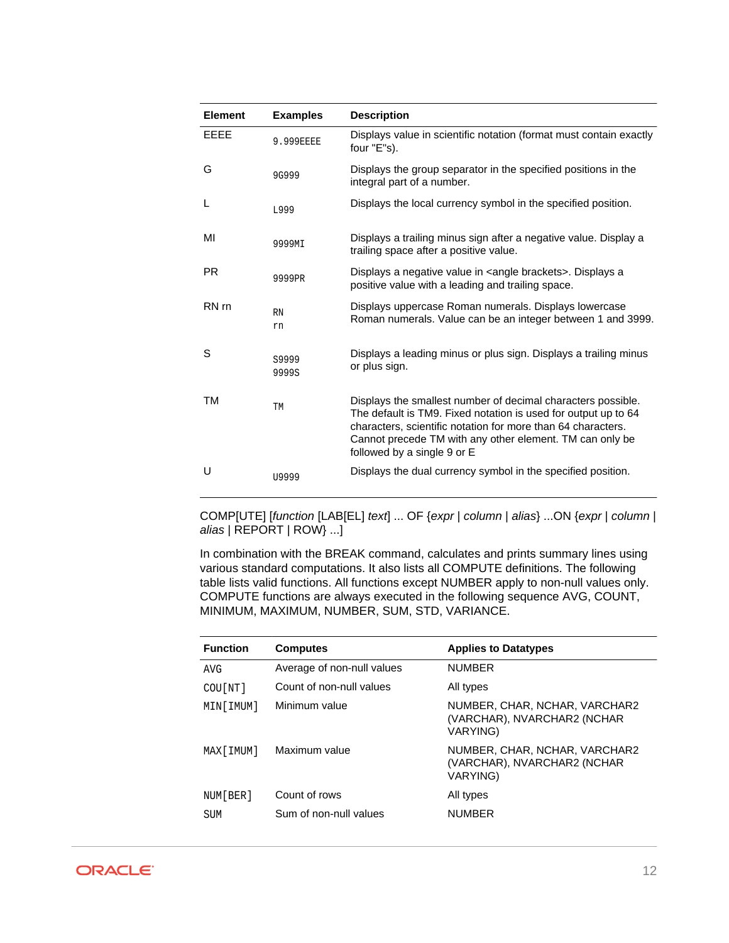| Element   | <b>Examples</b> | <b>Description</b>                                                                                                                                                                                                                                                                        |
|-----------|-----------------|-------------------------------------------------------------------------------------------------------------------------------------------------------------------------------------------------------------------------------------------------------------------------------------------|
| EEEE      | 9.999EEEE       | Displays value in scientific notation (format must contain exactly<br>four "E"s).                                                                                                                                                                                                         |
| G         | 9G999           | Displays the group separator in the specified positions in the<br>integral part of a number.                                                                                                                                                                                              |
| L         | L999            | Displays the local currency symbol in the specified position.                                                                                                                                                                                                                             |
| MI        | 9999MI          | Displays a trailing minus sign after a negative value. Display a<br>trailing space after a positive value.                                                                                                                                                                                |
| <b>PR</b> | 9999PR          | Displays a negative value in <angle brackets="">. Displays a<br/>positive value with a leading and trailing space.</angle>                                                                                                                                                                |
| RN m      | <b>RN</b><br>rn | Displays uppercase Roman numerals. Displays lowercase<br>Roman numerals. Value can be an integer between 1 and 3999.                                                                                                                                                                      |
| S         | S9999<br>9999S  | Displays a leading minus or plus sign. Displays a trailing minus<br>or plus sign.                                                                                                                                                                                                         |
| <b>TM</b> | TM              | Displays the smallest number of decimal characters possible.<br>The default is TM9. Fixed notation is used for output up to 64<br>characters, scientific notation for more than 64 characters.<br>Cannot precede TM with any other element. TM can only be<br>followed by a single 9 or E |
| U         | TJ9999          | Displays the dual currency symbol in the specified position.                                                                                                                                                                                                                              |

COMP[UTE] [*function* [LAB[EL] *text*] ... OF {*expr* | *column* | *alias*} ...ON {*expr* | *column* | *alias* | REPORT | ROW} ...]

In combination with the BREAK command, calculates and prints summary lines using various standard computations. It also lists all COMPUTE definitions. The following table lists valid functions. All functions except NUMBER apply to non-null values only. COMPUTE functions are always executed in the following sequence AVG, COUNT, MINIMUM, MAXIMUM, NUMBER, SUM, STD, VARIANCE.

| <b>Function</b> | <b>Computes</b>            | <b>Applies to Datatypes</b>                                              |
|-----------------|----------------------------|--------------------------------------------------------------------------|
| AVG             | Average of non-null values | <b>NUMBER</b>                                                            |
| COU NT 1        | Count of non-null values   | All types                                                                |
| MIN [ IMUM ]    | Minimum value              | NUMBER, CHAR, NCHAR, VARCHAR2<br>(VARCHAR), NVARCHAR2 (NCHAR<br>VARYING) |
| MAX [ IMUM ]    | Maximum value              | NUMBER, CHAR, NCHAR, VARCHAR2<br>(VARCHAR), NVARCHAR2 (NCHAR<br>VARYING) |
| NUM [ BER ]     | Count of rows              | All types                                                                |
| SUM             | Sum of non-null values     | <b>NUMBER</b>                                                            |

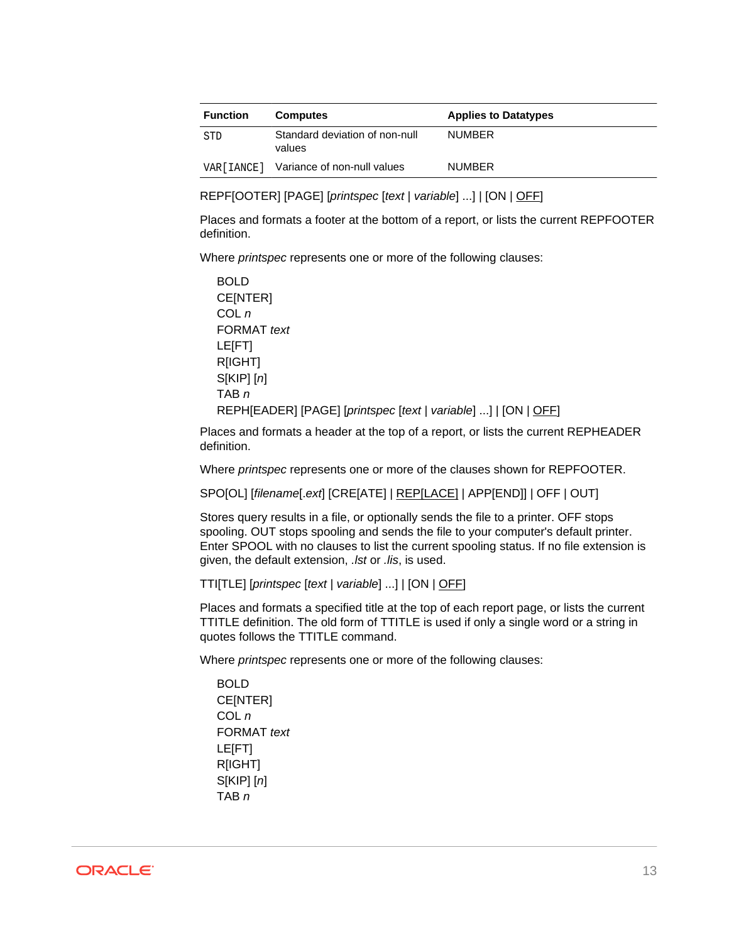| <b>Function</b> | <b>Computes</b>                           | <b>Applies to Datatypes</b> |
|-----------------|-------------------------------------------|-----------------------------|
| STD             | Standard deviation of non-null<br>values  | <b>NUMBER</b>               |
|                 | VAR [ IANCE ] Variance of non-null values | <b>NUMBER</b>               |

REPF[OOTER] [PAGE] [*printspec* [*text* | *variable*] ...] | [ON | OFF]

Places and formats a footer at the bottom of a report, or lists the current REPFOOTER definition.

Where *printspec* represents one or more of the following clauses:

BOLD CE[NTER] COL *n* FORMAT *text* LE[FT] R[IGHT] S[KIP] [*n*] TAB *n* REPH[EADER] [PAGE] [*printspec* [*text* | *variable*] ...] | [ON | OFF]

Places and formats a header at the top of a report, or lists the current REPHEADER definition.

Where *printspec* represents one or more of the clauses shown for REPFOOTER.

SPO[OL] [*filename*[.*ext*] [CRE[ATE] | REP[LACE] | APP[END]] | OFF | OUT]

Stores query results in a file, or optionally sends the file to a printer. OFF stops spooling. OUT stops spooling and sends the file to your computer's default printer. Enter SPOOL with no clauses to list the current spooling status. If no file extension is given, the default extension, *.lst* or *.lis*, is used.

TTI[TLE] [*printspec* [*text* | *variable*] ...] | [ON | OFF]

Places and formats a specified title at the top of each report page, or lists the current TTITLE definition. The old form of TTITLE is used if only a single word or a string in quotes follows the TTITLE command.

Where *printspec* represents one or more of the following clauses:

BOLD CE[NTER] COL *n* FORMAT *text* LE[FT] R[IGHT] S[KIP] [*n*] TAB *n*

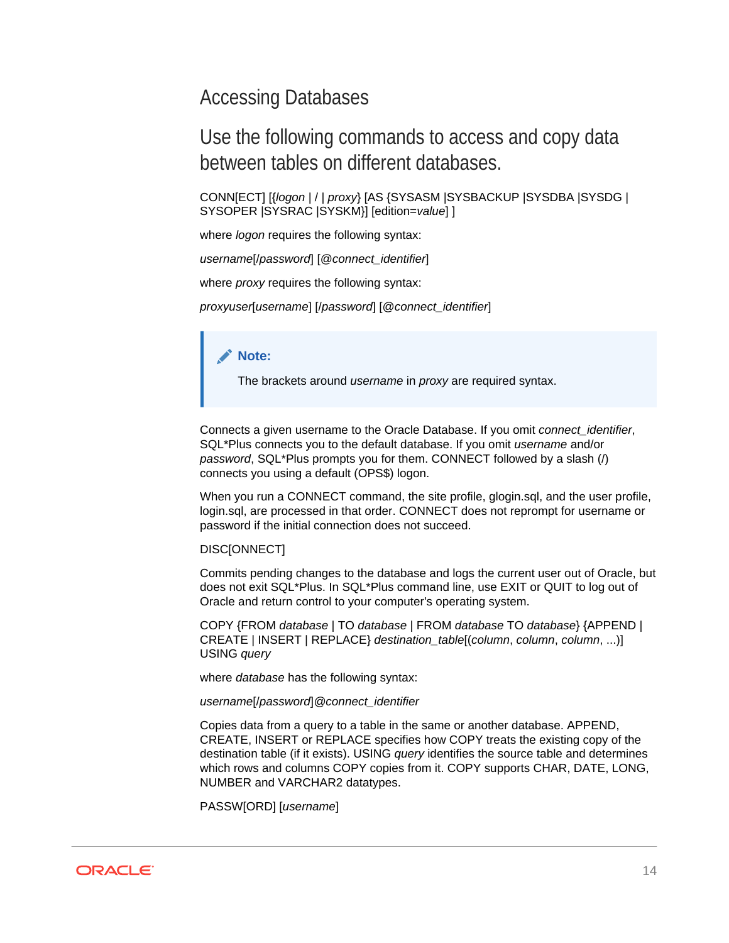### <span id="page-13-0"></span>Accessing Databases

## Use the following commands to access and copy data between tables on different databases.

CONN[ECT] [{*logon* | / | *proxy*} [AS {SYSASM |SYSBACKUP |SYSDBA |SYSDG | SYSOPER |SYSRAC |SYSKM}] [edition=*value*] ]

where *logon* requires the following syntax:

*username*[/*password*] [@*connect\_identifier*]

where *proxy* requires the following syntax:

*proxyuser*[*username*] [/*password*] [@*connect\_identifier*]

#### **Note:**

The brackets around *username* in *proxy* are required syntax.

Connects a given username to the Oracle Database. If you omit *connect\_identifier*, SQL\*Plus connects you to the default database. If you omit *username* and/or *password*, SQL\*Plus prompts you for them. CONNECT followed by a slash (/) connects you using a default (OPS\$) logon.

When you run a CONNECT command, the site profile, glogin.sql, and the user profile, login.sql, are processed in that order. CONNECT does not reprompt for username or password if the initial connection does not succeed.

#### DISC[ONNECT]

Commits pending changes to the database and logs the current user out of Oracle, but does not exit SQL\*Plus. In SQL\*Plus command line, use EXIT or QUIT to log out of Oracle and return control to your computer's operating system.

COPY {FROM *database* | TO *database* | FROM *database* TO *database*} {APPEND | CREATE | INSERT | REPLACE} *destination\_table*[(*column*, *column*, *column*, ...)] USING *query*

where *database* has the following syntax:

*username*[/*password*]*@connect\_identifier*

Copies data from a query to a table in the same or another database. APPEND, CREATE, INSERT or REPLACE specifies how COPY treats the existing copy of the destination table (if it exists). USING *query* identifies the source table and determines which rows and columns COPY copies from it. COPY supports CHAR, DATE, LONG, NUMBER and VARCHAR2 datatypes.

PASSW[ORD] [*username*]

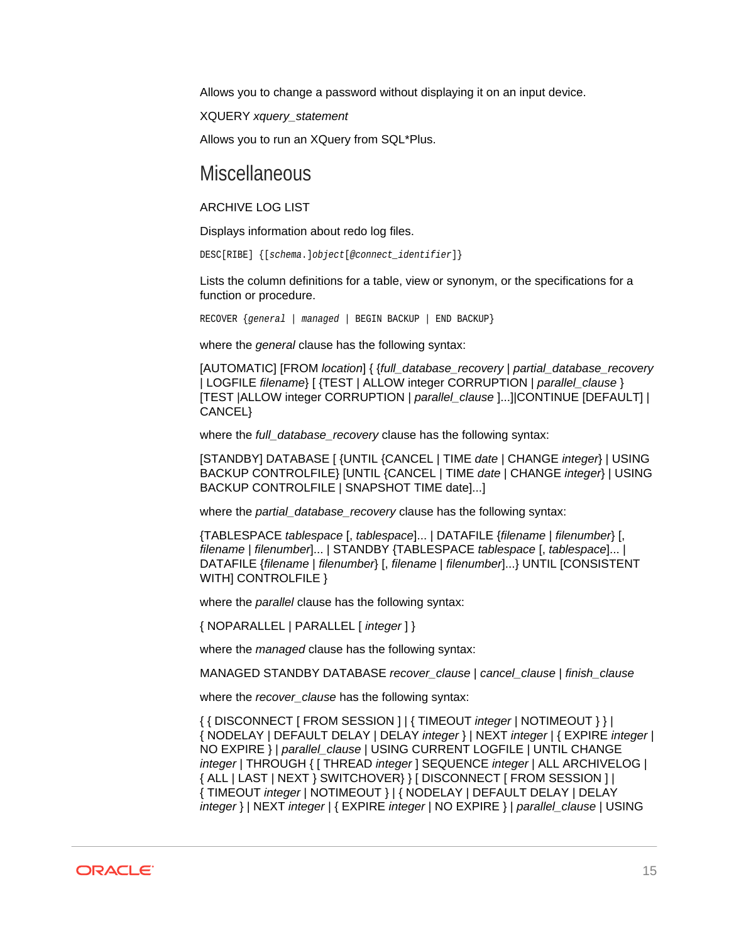<span id="page-14-0"></span>Allows you to change a password without displaying it on an input device.

XQUERY *xquery\_statement*

Allows you to run an XQuery from SQL\*Plus.

### **Miscellaneous**

ARCHIVE LOG LIST

Displays information about redo log files.

DESC[RIBE] {[schema.]object[@connect\_identifier]}

Lists the column definitions for a table, view or synonym, or the specifications for a function or procedure.

RECOVER {general | managed | BEGIN BACKUP | END BACKUP}

where the *general* clause has the following syntax:

[AUTOMATIC] [FROM *location*] { {*full\_database\_recovery* | *partial\_database\_recovery* | LOGFILE *filename*} [ {TEST | ALLOW integer CORRUPTION | *parallel\_clause* } [TEST |ALLOW integer CORRUPTION | *parallel\_clause* ]...]|CONTINUE [DEFAULT] | CANCEL}

where the *full* database recovery clause has the following syntax:

[STANDBY] DATABASE [ {UNTIL {CANCEL | TIME *date* | CHANGE *integer*} | USING BACKUP CONTROLFILE} [UNTIL {CANCEL | TIME *date* | CHANGE *integer*} | USING BACKUP CONTROLFILE | SNAPSHOT TIME date]...]

where the *partial\_database\_recovery* clause has the following syntax:

{TABLESPACE *tablespace* [, *tablespace*]... | DATAFILE {*filename* | *filenumber*} [, *filename* | *filenumber*]... | STANDBY {TABLESPACE *tablespace* [, *tablespace*]... | DATAFILE {*filename* | *filenumber*} [, *filename* | *filenumber*]...} UNTIL [CONSISTENT WITH] CONTROLFILE }

where the *parallel* clause has the following syntax:

{ NOPARALLEL | PARALLEL [ *integer* ] }

where the *managed* clause has the following syntax:

MANAGED STANDBY DATABASE *recover\_clause* | *cancel\_clause* | *finish\_clause*

where the *recover* clause has the following syntax:

{ { DISCONNECT [ FROM SESSION ] | { TIMEOUT *integer* | NOTIMEOUT } } | { NODELAY | DEFAULT DELAY | DELAY *integer* } | NEXT *integer* | { EXPIRE *integer* | NO EXPIRE } | *parallel\_clause* | USING CURRENT LOGFILE | UNTIL CHANGE *integer* | THROUGH { [ THREAD *integer* ] SEQUENCE *integer* | ALL ARCHIVELOG | { ALL | LAST | NEXT } SWITCHOVER} } [ DISCONNECT [ FROM SESSION ] | { TIMEOUT *integer* | NOTIMEOUT } | { NODELAY | DEFAULT DELAY | DELAY *integer* } | NEXT *integer* | { EXPIRE *integer* | NO EXPIRE } | *parallel\_clause* | USING

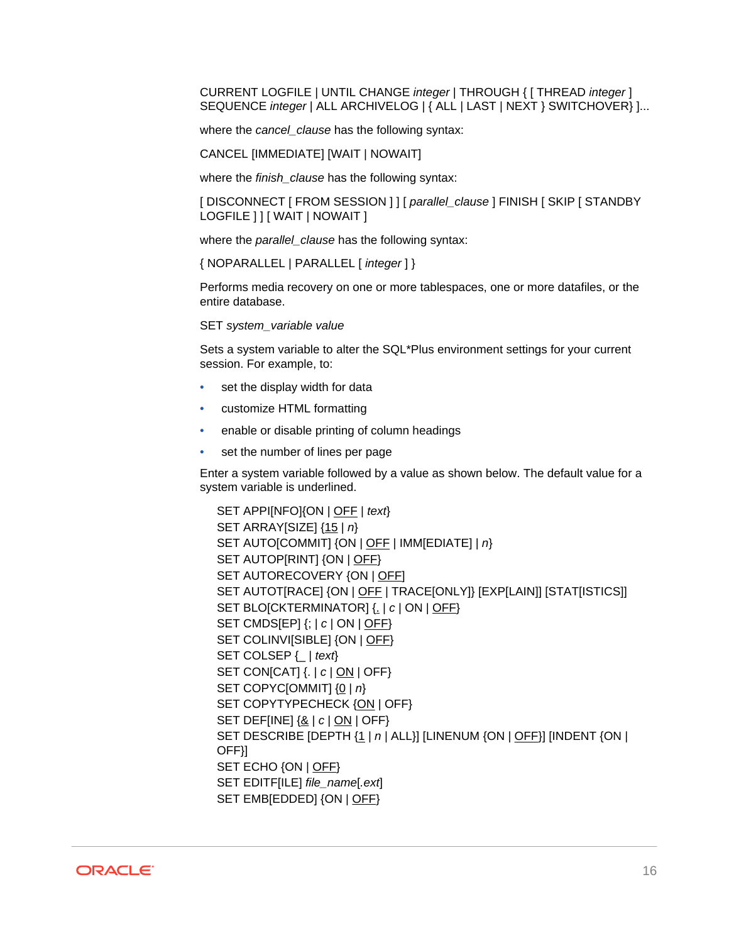CURRENT LOGFILE | UNTIL CHANGE *integer* | THROUGH { [ THREAD *integer* ] SEQUENCE *integer* | ALL ARCHIVELOG | { ALL | LAST | NEXT } SWITCHOVER} ]...

where the *cancel\_clause* has the following syntax:

CANCEL [IMMEDIATE] [WAIT | NOWAIT]

where the *finish* clause has the following syntax:

[ DISCONNECT [ FROM SESSION ] ] [ *parallel\_clause* ] FINISH [ SKIP [ STANDBY LOGFILE ] ] [ WAIT | NOWAIT ]

where the *parallel\_clause* has the following syntax:

{ NOPARALLEL | PARALLEL [ *integer* ] }

Performs media recovery on one or more tablespaces, one or more datafiles, or the entire database.

SET *system\_variable value*

Sets a system variable to alter the SQL\*Plus environment settings for your current session. For example, to:

- set the display width for data
- customize HTML formatting
- enable or disable printing of column headings
- set the number of lines per page

Enter a system variable followed by a value as shown below. The default value for a system variable is underlined.

SET APPI[NFO]{ON | OFF | *text*} SET ARRAY[SIZE] {15 | *n*} SET AUTO[COMMIT] {ON | OFF | IMM[EDIATE] | *n*} SET AUTOP[RINT] {ON | OFF} SET AUTORECOVERY {ON | OFF] SET AUTOT[RACE] {ON | OFF | TRACE[ONLY]} [EXP[LAIN]] [STAT[ISTICS]] SET BLO[CKTERMINATOR] {. | *c* | ON | OFF} SET CMDS[EP] {; | *c* | ON | OFF} SET COLINVI[SIBLE] {ON | OFF} SET COLSEP {\_ | *text*} SET CON[CAT] {. | *c* | ON | OFF} SET COPYC[OMMIT] {0 | *n*} SET COPYTYPECHECK {ON | OFF} SET DEF[INE] {& | *c* | ON | OFF} SET DESCRIBE [DEPTH {1 | *n* | ALL}] [LINENUM {ON | OFF}] [INDENT {ON | OFF}] SET ECHO {ON | OFF} SET EDITF[ILE] *file\_name*[*.ext*] SET EMB[EDDED] {ON | OFF}

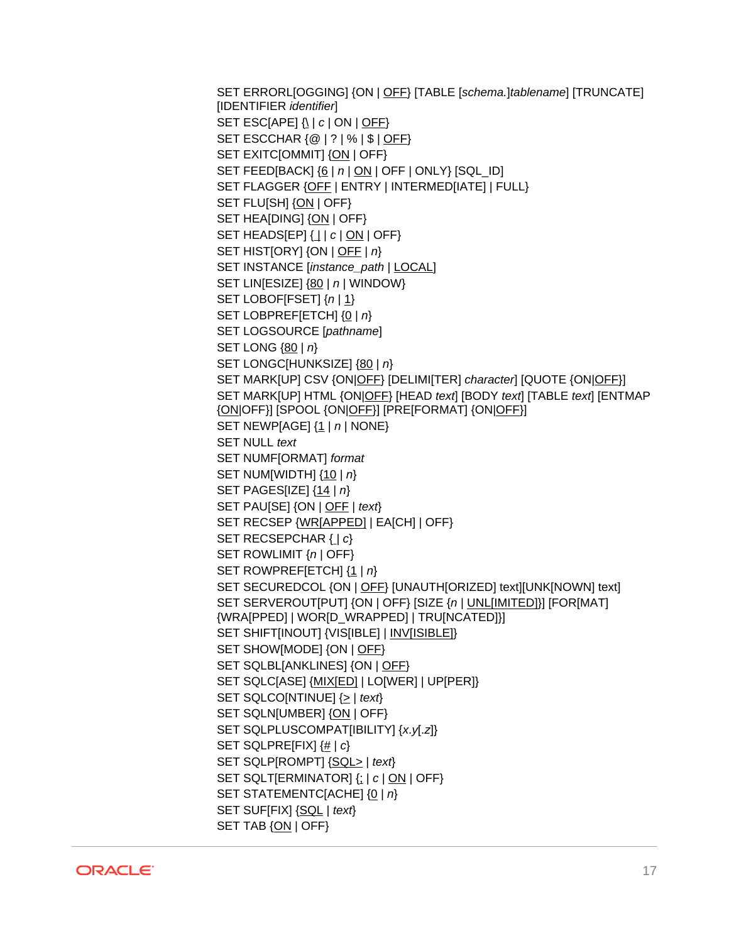

SET TAB {ON | OFF}

SET ERRORL[OGGING] {ON | OFF} [TABLE [*schema.*]*tablename*] [TRUNCATE] [IDENTIFIER *identifier*] SET ESC[APE] {\ | *c* | ON | OFF} SET ESCCHAR {@ | ? | % | \$ | OFF} SET EXITC[OMMIT] {ON | OFF} SET FEED[BACK] {6 | *n* | ON | OFF | ONLY} [SQL\_ID] SET FLAGGER {OFF | ENTRY | INTERMED[IATE] | FULL} SET FLU[SH] {ON | OFF} SET HEA[DING] {ON | OFF} SET HEADS[EP] { | | *c* | ON | OFF} SET HIST[ORY] {ON | OFF | *n*} SET INSTANCE [*instance\_path* | LOCAL] SET LIN[ESIZE] {80 | *n* | WINDOW} SET LOBOF[FSET]  ${n | 1}$ SET LOBPREF[ETCH] {0 | *n*} SET LOGSOURCE [*pathname*] SET LONG {80 | *n*} SET LONGC[HUNKSIZE] {80 | *n*} SET MARK[UP] CSV {ON|OFF} [DELIMI[TER] *character*] [QUOTE {ON|OFF}] SET MARK[UP] HTML {ON|OFF} [HEAD *text*] [BODY *text*] [TABLE *text*] [ENTMAP {ON|OFF}] [SPOOL {ON|OFF}] [PRE[FORMAT] {ON|OFF}] SET NEWP[AGE] {1 | *n* | NONE} SET NULL *text* SET NUMF[ORMAT] *format* SET NUM[WIDTH] {10 | *n*} SET PAGES[IZE] {14 | *n*} SET PAU[SE] {ON | OFF | *text*} SET RECSEP {WR[APPED] | EA[CH] | OFF} SET RECSEPCHAR { | *c*} SET ROWLIMIT {*n* | OFF} SET ROWPREF[ETCH] {1 | *n*} SET SECUREDCOL {ON | OFF} [UNAUTH[ORIZED] text][UNK[NOWN] text] SET SERVEROUT[PUT] {ON | OFF} [SIZE {*n* | UNL[IMITED]}] [FOR[MAT] {WRA[PPED] | WOR[D\_WRAPPED] | TRU[NCATED]}] SET SHIFT[INOUT] {VIS[IBLE] | INV[ISIBLE]} SET SHOW[MODE] {ON | OFF} SET SQLBL[ANKLINES] {ON | OFF} SET SQLC[ASE] {MIX[ED] | LO[WER] | UP[PER]} SET SQLCO[NTINUE] {> | *text*} SET SQLN[UMBER] {ON | OFF} SET SQLPLUSCOMPAT[IBILITY] {*x*.*y*[.*z*]} SET SQLPRE[FIX] {# | *c*} SET SQLP[ROMPT] {SQL> | *text*} SET SQLT[ERMINATOR] {; | *c* | ON | OFF} SET STATEMENTC[ACHE] {0 | *n*} SET SUF[FIX] {SQL | *text*}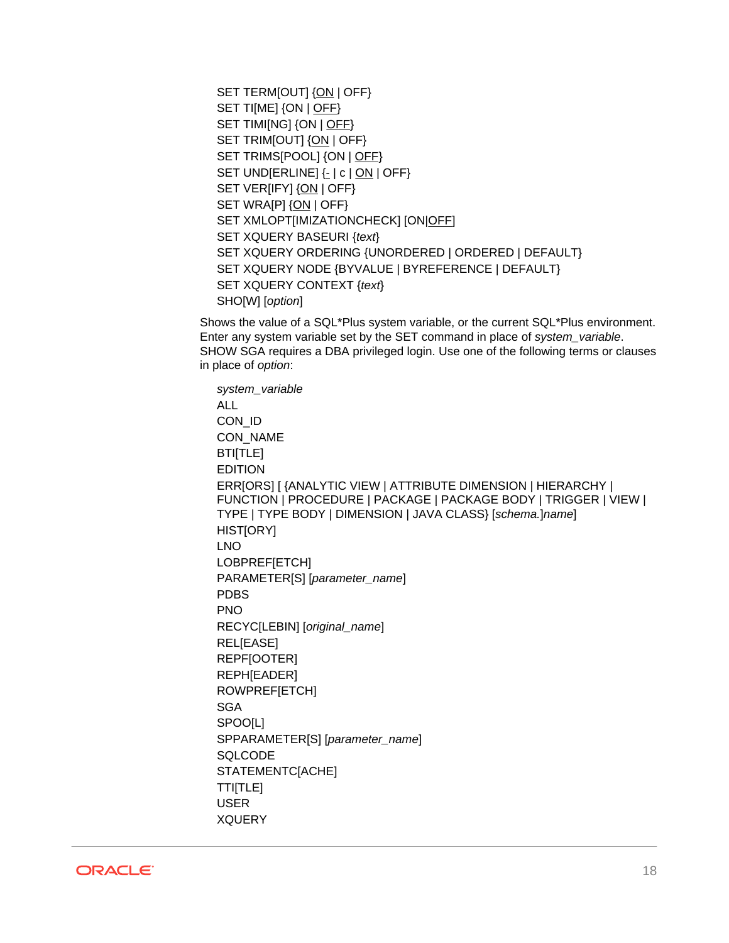SET TERM[OUT] {ON | OFF} SET TI[ME] {ON | OFF} SET TIMI[NG] {ON | OFF} SET TRIM[OUT] {ON | OFF} SET TRIMS[POOL] {ON | OFF} SET UND[ERLINE] {- | c | ON | OFF} SET VER[IFY] {ON | OFF} SET WRA[P] {ON | OFF} SET XMLOPT[IMIZATIONCHECK] [ON|OFF] SET XQUERY BASEURI {*text*} SET XQUERY ORDERING {UNORDERED | ORDERED | DEFAULT} SET XQUERY NODE {BYVALUE | BYREFERENCE | DEFAULT} SET XQUERY CONTEXT {*text*} SHO[W] [*option*]

Shows the value of a SQL\*Plus system variable, or the current SQL\*Plus environment. Enter any system variable set by the SET command in place of *system\_variable*. SHOW SGA requires a DBA privileged login. Use one of the following terms or clauses in place of *option*:

*system\_variable* ALL CON\_ID CON\_NAME BTI[TLE] EDITION ERR[ORS] [ {ANALYTIC VIEW | ATTRIBUTE DIMENSION | HIERARCHY | FUNCTION | PROCEDURE | PACKAGE | PACKAGE BODY | TRIGGER | VIEW | TYPE | TYPE BODY | DIMENSION | JAVA CLASS} [*schema.*]*name*] HIST[ORY] LNO LOBPREF[ETCH] PARAMETER[S] [*parameter\_name*] PDBS PNO RECYC[LEBIN] [*original\_name*] REL[EASE] REPF[OOTER] REPH[EADER] ROWPREF[ETCH] **SGA SPOO[L]** SPPARAMETER[S] [*parameter\_name*] **SOLCODE** STATEMENTC[ACHE] TTI[TLE] USER XQUERY